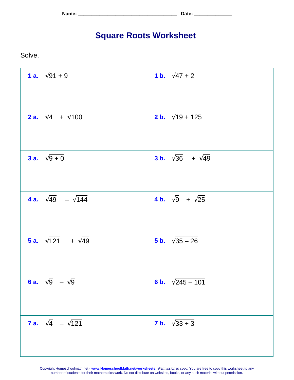**Name: \_\_\_\_\_\_\_\_\_\_\_\_\_\_\_\_\_\_\_\_\_\_\_\_\_\_\_\_\_\_\_\_\_\_\_\_\_ Date: \_\_\_\_\_\_\_\_\_\_\_\_\_\_**

## **Square Roots Worksheet**

Solve.

| 1 a. $\sqrt{91+9}$                     | 1 b. $\sqrt{47+2}$                    |
|----------------------------------------|---------------------------------------|
| <b>2 a.</b> $\sqrt{4}$ + $\sqrt{100}$  | <b>2 b.</b> $\sqrt{19 + 125}$         |
| 3 a. $\sqrt{9+0}$                      | <b>3 b.</b> $\sqrt{36}$ + $\sqrt{49}$ |
| <b>4 a.</b> $\sqrt{49}$ – $\sqrt{144}$ | 4 b. $\sqrt{9}$ + $\sqrt{25}$         |
| <b>5 a.</b> $\sqrt{121}$ + $\sqrt{49}$ | 5 b. $\sqrt{35-26}$                   |
| 6 a. $\sqrt{9}$ – $\sqrt{9}$           | 6 b. $\sqrt{245 - 101}$               |
| <b>7 a.</b> $\sqrt{4}$ – $\sqrt{121}$  | <b>7 b.</b> $\sqrt{33 + 3}$           |